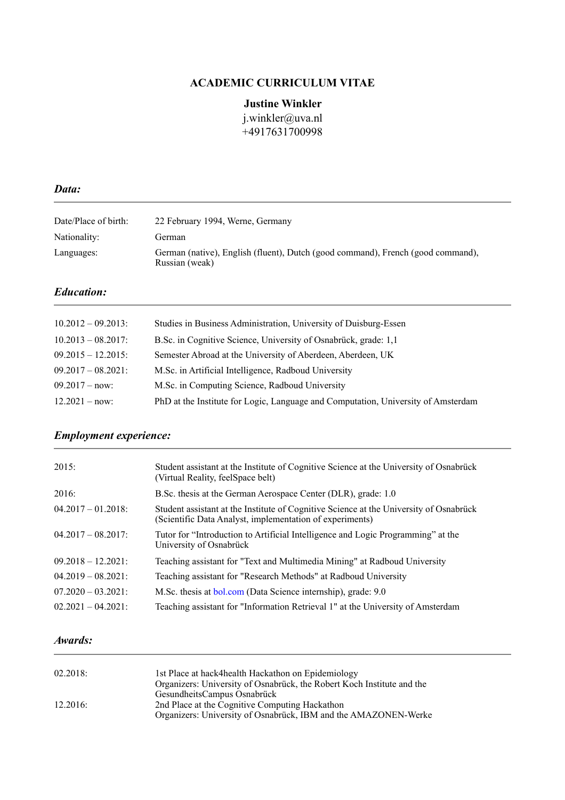## **ACADEMIC CURRICULUM VITAE**

### **Justine Winkler**

[j.winkler@uva.nl](mailto:j.winkler@uva.nl) +4917631700998

#### *Data:*

| Date/Place of birth: | 22 February 1994, Werne, Germany                                                                  |
|----------------------|---------------------------------------------------------------------------------------------------|
| Nationality:         | German                                                                                            |
| Languages:           | German (native), English (fluent), Dutch (good command), French (good command),<br>Russian (weak) |

### *Education:*

| $10.2012 - 09.2013$ : | Studies in Business Administration, University of Duisburg-Essen                  |
|-----------------------|-----------------------------------------------------------------------------------|
| $10.2013 - 08.2017$ : | B.Sc. in Cognitive Science, University of Osnabrück, grade: 1,1                   |
| $09.2015 - 12.2015$ : | Semester Abroad at the University of Aberdeen, Aberdeen, UK                       |
| $09.2017 - 08.2021$ : | M.Sc. in Artificial Intelligence, Radboud University                              |
| $09.2017 - now$       | M.Sc. in Computing Science, Radboud University                                    |
| $12.2021 - now$       | PhD at the Institute for Logic, Language and Computation, University of Amsterdam |

# *Employment experience:*

| 2015:                 | Student assistant at the Institute of Cognitive Science at the University of Osnabrück<br>(Virtual Reality, feelSpace belt)                        |
|-----------------------|----------------------------------------------------------------------------------------------------------------------------------------------------|
| 2016:                 | B.Sc. thesis at the German Aerospace Center (DLR), grade: 1.0                                                                                      |
| $04.2017 - 01.2018$ : | Student assistant at the Institute of Cognitive Science at the University of Osnabrück<br>(Scientific Data Analyst, implementation of experiments) |
| $04.2017 - 08.2017$ : | Tutor for "Introduction to Artificial Intelligence and Logic Programming" at the<br>University of Osnabrück                                        |
| $09.2018 - 12.2021$ : | Teaching assistant for "Text and Multimedia Mining" at Radboud University                                                                          |
| $04.2019 - 08.2021$ : | Teaching assistant for "Research Methods" at Radboud University                                                                                    |
| $07.2020 - 03.2021$ : | M.Sc. thesis at bol.com (Data Science internship), grade: 9.0                                                                                      |
| $02.2021 - 04.2021$ : | Teaching assistant for "Information Retrieval 1" at the University of Amsterdam                                                                    |

### *Awards:*

| 02.2018: | 1st Place at hack4health Hackathon on Epidemiology                     |  |
|----------|------------------------------------------------------------------------|--|
|          | Organizers: University of Osnabrück, the Robert Koch Institute and the |  |
|          | GesundheitsCampus Osnabrück                                            |  |
| 12.2016: | 2nd Place at the Cognitive Computing Hackathon                         |  |
|          | Organizers: University of Osnabrück, IBM and the AMAZONEN-Werke        |  |